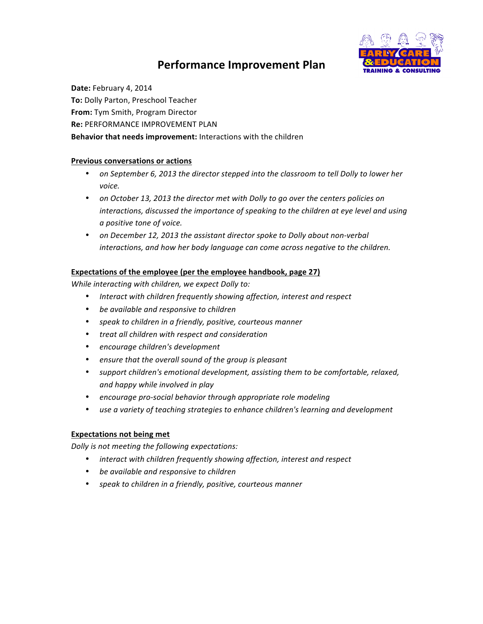# **Performance Improvement Plan**



Date: February 4, 2014 **To: Dolly Parton, Preschool Teacher From:** Tym Smith, Program Director **Re: PERFORMANCE IMPROVEMENT PLAN Behavior that needs improvement:** Interactions with the children

# **Previous conversations or actions**

- on September 6, 2013 the director stepped into the classroom to tell Dolly to lower her *voice.*
- on October 13, 2013 the director met with Dolly to go over the centers policies on *interactions, discussed the importance of speaking to the children at eye level and using a positive tone of voice.*
- on December 12, 2013 the assistant director spoke to Dolly about non-verbal interactions, and how her body language can come across negative to the children.

# **Expectations of the employee (per the employee handbook, page 27)**

*While interacting with children, we expect Dolly to:* 

- Interact with children frequently showing affection, interest and respect
- be available and responsive to children
- *speak to children in a friendly, positive, courteous manner*
- *treat all children with respect and consideration*
- *encourage children's development*
- ensure that the overall sound of the group is pleasant
- *support children's emotional development, assisting them to be comfortable, relaxed, and happy while involved in play*
- encourage pro-social behavior through appropriate role modeling
- use a variety of teaching strategies to enhance children's learning and development

#### **Expectations not being met**

*Dolly is not meeting the following expectations:* 

- *interact with children frequently showing affection, interest and respect*
- be available and responsive to children
- speak to children in a friendly, positive, courteous manner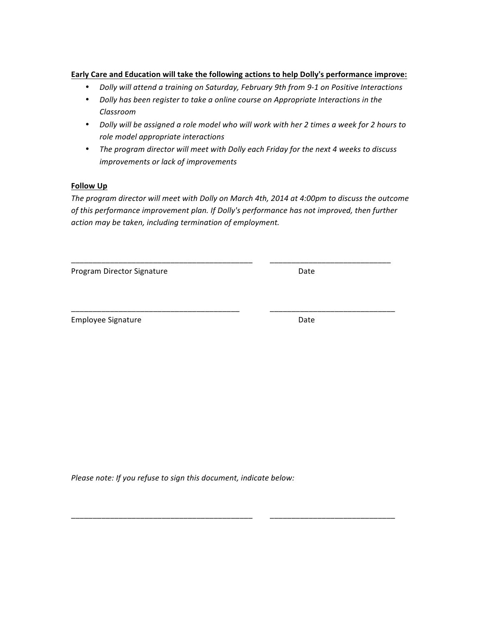### **Early Care and Education will take the following actions to help Dolly's performance improve:**

- *Dolly will attend a training on Saturday, February 9th from 9-1 on Positive Interactions*
- *Dolly has been register to take a online course on Appropriate Interactions in the Classroom*
- Dolly will be assigned a role model who will work with her 2 times a week for 2 hours to *role model appropriate interactions*
- The program director will meet with Dolly each Friday for the next 4 weeks to discuss *improvements or lack of improvements*

#### **Follow** Up

The program director will meet with Dolly on March 4th, 2014 at 4:00pm to discuss the outcome of this performance improvement plan. If Dolly's performance has not improved, then further action may be taken, including termination of employment.

\_\_\_\_\_\_\_\_\_\_\_\_\_\_\_\_\_\_\_\_\_\_\_\_\_\_\_\_\_\_\_\_\_\_\_\_\_\_\_\_\_\_ \_\_\_\_\_\_\_\_\_\_\_\_\_\_\_\_\_\_\_\_\_\_\_\_\_\_\_\_

\_\_\_\_\_\_\_\_\_\_\_\_\_\_\_\_\_\_\_\_\_\_\_\_\_\_\_\_\_\_\_\_\_\_\_\_\_\_\_ \_\_\_\_\_\_\_\_\_\_\_\_\_\_\_\_\_\_\_\_\_\_\_\_\_\_\_\_\_

\_\_\_\_\_\_\_\_\_\_\_\_\_\_\_\_\_\_\_\_\_\_\_\_\_\_\_\_\_\_\_\_\_\_\_\_\_\_\_\_\_\_ \_\_\_\_\_\_\_\_\_\_\_\_\_\_\_\_\_\_\_\_\_\_\_\_\_\_\_\_\_

Program Director Signature **Date** Date

Employee Signature **Date** Date

Please note: If you refuse to sign this document, indicate below: